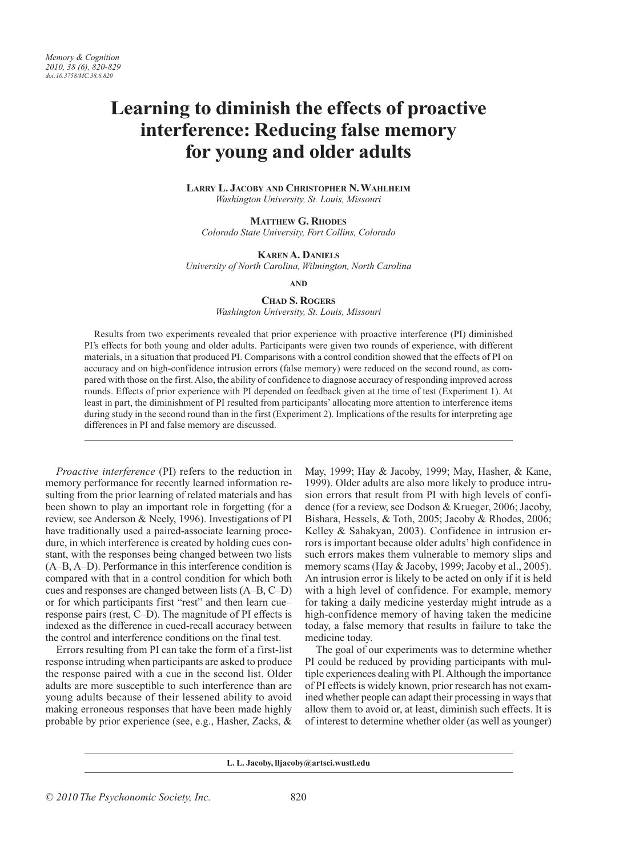# **Learning to diminish the effects of proactive interference: Reducing false memory for young and older adults**

# **Larry L. Jacoby and Christopher N. Wahlheim** *Washington University, St. Louis, Missouri*

**Matthew G. Rhodes** *Colorado State University, Fort Collins, Colorado*

# **Karen A. Daniels**

*University of North Carolina, Wilmington, North Carolina*

**and**

## **Chad S. Rogers**

*Washington University, St. Louis, Missouri*

Results from two experiments revealed that prior experience with proactive interference (PI) diminished PI's effects for both young and older adults. Participants were given two rounds of experience, with different materials, in a situation that produced PI. Comparisons with a control condition showed that the effects of PI on accuracy and on high-confidence intrusion errors (false memory) were reduced on the second round, as compared with those on the first. Also, the ability of confidence to diagnose accuracy of responding improved across rounds. Effects of prior experience with PI depended on feedback given at the time of test (Experiment 1). At least in part, the diminishment of PI resulted from participants' allocating more attention to interference items during study in the second round than in the first (Experiment 2). Implications of the results for interpreting age differences in PI and false memory are discussed.

*Proactive interference* (PI) refers to the reduction in memory performance for recently learned information resulting from the prior learning of related materials and has been shown to play an important role in forgetting (for a review, see Anderson & Neely, 1996). Investigations of PI have traditionally used a paired-associate learning procedure, in which interference is created by holding cues constant, with the responses being changed between two lists (A–B, A–D). Performance in this interference condition is compared with that in a control condition for which both cues and responses are changed between lists (A–B, C–D) or for which participants first "rest" and then learn cue– response pairs (rest, C–D). The magnitude of PI effects is indexed as the difference in cued-recall accuracy between the control and interference conditions on the final test.

Errors resulting from PI can take the form of a first-list response intruding when participants are asked to produce the response paired with a cue in the second list. Older adults are more susceptible to such interference than are young adults because of their lessened ability to avoid making erroneous responses that have been made highly probable by prior experience (see, e.g., Hasher, Zacks, & May, 1999; Hay & Jacoby, 1999; May, Hasher, & Kane, 1999). Older adults are also more likely to produce intrusion errors that result from PI with high levels of confidence (for a review, see Dodson & Krueger, 2006; Jacoby, Bishara, Hessels, & Toth, 2005; Jacoby & Rhodes, 2006; Kelley & Sahakyan, 2003). Confidence in intrusion errors is important because older adults' high confidence in such errors makes them vulnerable to memory slips and memory scams (Hay & Jacoby, 1999; Jacoby et al., 2005). An intrusion error is likely to be acted on only if it is held with a high level of confidence. For example, memory for taking a daily medicine yesterday might intrude as a high-confidence memory of having taken the medicine today, a false memory that results in failure to take the medicine today.

The goal of our experiments was to determine whether PI could be reduced by providing participants with multiple experiences dealing with PI. Although the importance of PI effects is widely known, prior research has not examined whether people can adapt their processing in ways that allow them to avoid or, at least, diminish such effects. It is of interest to determine whether older (as well as younger)

**L. L. Jacoby, lljacoby@artsci.wustl.edu**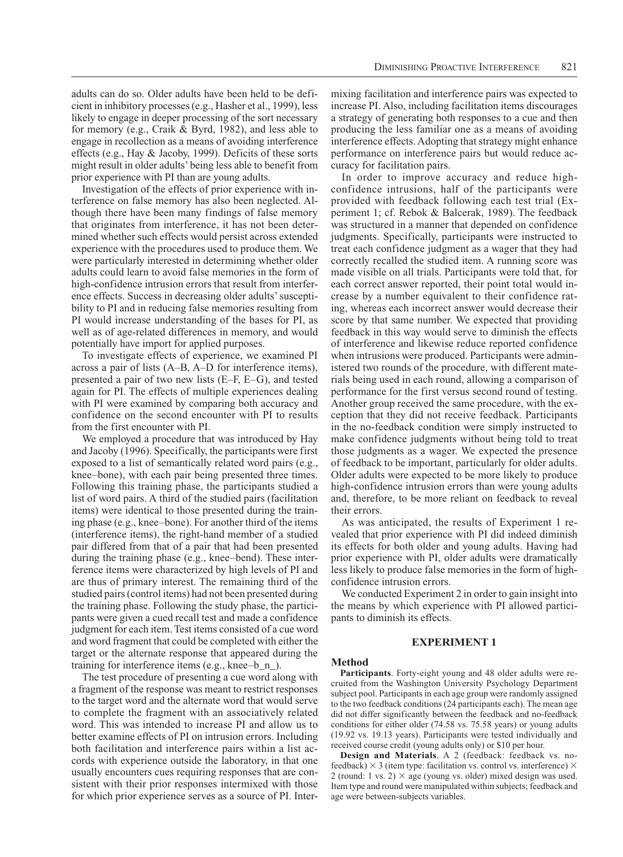adults can do so. Older adults have been held to be deficient in inhibitory processes (e.g., Hasher et al., 1999), less likely to engage in deeper processing of the sort necessary for memory (e.g., Craik & Byrd, 1982), and less able to engage in recollection as a means of avoiding interference effects (e.g., Hay & Jacoby, 1999). Deficits of these sorts might result in older adults' being less able to benefit from prior experience with PI than are young adults.

Investigation of the effects of prior experience with interference on false memory has also been neglected. Although there have been many findings of false memory that originates from interference, it has not been determined whether such effects would persist across extended experience with the procedures used to produce them. We were particularly interested in determining whether older adults could learn to avoid false memories in the form of high-confidence intrusion errors that result from interference effects. Success in decreasing older adults' susceptibility to PI and in reducing false memories resulting from PI would increase understanding of the bases for PI, as well as of age-related differences in memory, and would potentially have import for applied purposes.

To investigate effects of experience, we examined PI across a pair of lists (A–B, A–D for interference items), presented a pair of two new lists (E–F, E–G), and tested again for PI. The effects of multiple experiences dealing with PI were examined by comparing both accuracy and confidence on the second encounter with PI to results from the first encounter with PI.

We employed a procedure that was introduced by Hay and Jacoby (1996). Specifically, the participants were first exposed to a list of semantically related word pairs (e.g., knee–bone), with each pair being presented three times. Following this training phase, the participants studied a list of word pairs. A third of the studied pairs (facilitation items) were identical to those presented during the training phase (e.g., knee–bone). For another third of the items (interference items), the right-hand member of a studied pair differed from that of a pair that had been presented during the training phase (e.g., knee–bend). These interference items were characterized by high levels of PI and are thus of primary interest. The remaining third of the studied pairs (control items) had not been presented during the training phase. Following the study phase, the participants were given a cued recall test and made a confidence judgment for each item. Test items consisted of a cue word and word fragment that could be completed with either the target or the alternate response that appeared during the training for interference items (e.g., knee–b\_n\_).

The test procedure of presenting a cue word along with a fragment of the response was meant to restrict responses to the target word and the alternate word that would serve to complete the fragment with an associatively related word. This was intended to increase PI and allow us to better examine effects of PI on intrusion errors. Including both facilitation and interference pairs within a list accords with experience outside the laboratory, in that one usually encounters cues requiring responses that are consistent with their prior responses intermixed with those for which prior experience serves as a source of PI. Inter-

mixing facilitation and interference pairs was expected to increase PI. Also, including facilitation items discourages a strategy of generating both responses to a cue and then producing the less familiar one as a means of avoiding interference effects. Adopting that strategy might enhance performance on interference pairs but would reduce accuracy for facilitation pairs.

In order to improve accuracy and reduce highconfidence intrusions, half of the participants were provided with feedback following each test trial (Experiment 1; cf. Rebok & Balcerak, 1989). The feedback was structured in a manner that depended on confidence judgments. Specifically, participants were instructed to treat each confidence judgment as a wager that they had correctly recalled the studied item. A running score was made visible on all trials. Participants were told that, for each correct answer reported, their point total would increase by a number equivalent to their confidence rating, whereas each incorrect answer would decrease their score by that same number. We expected that providing feedback in this way would serve to diminish the effects of interference and likewise reduce reported confidence when intrusions were produced. Participants were administered two rounds of the procedure, with different materials being used in each round, allowing a comparison of performance for the first versus second round of testing. Another group received the same procedure, with the exception that they did not receive feedback. Participants in the no-feedback condition were simply instructed to make confidence judgments without being told to treat those judgments as a wager. We expected the presence of feedback to be important, particularly for older adults. Older adults were expected to be more likely to produce high-confidence intrusion errors than were young adults and, therefore, to be more reliant on feedback to reveal their errors.

As was anticipated, the results of Experiment 1 revealed that prior experience with PI did indeed diminish its effects for both older and young adults. Having had prior experience with PI, older adults were dramatically less likely to produce false memories in the form of highconfidence intrusion errors.

We conducted Experiment 2 in order to gain insight into the means by which experience with PI allowed participants to diminish its effects.

# **Experiment 1**

#### **Method**

**Participants**. Forty-eight young and 48 older adults were recruited from the Washington University Psychology Department subject pool. Participants in each age group were randomly assigned to the two feedback conditions (24 participants each). The mean age did not differ significantly between the feedback and no-feedback conditions for either older (74.58 vs. 75.58 years) or young adults (19.92 vs. 19.13 years). Participants were tested individually and received course credit (young adults only) or \$10 per hour.

**Design and Materials**. A 2 (feedback: feedback vs. nofeedback)  $\times$  3 (item type: facilitation vs. control vs. interference)  $\times$ 2 (round: 1 vs. 2)  $\times$  age (young vs. older) mixed design was used. Item type and round were manipulated within subjects; feedback and age were between-subjects variables.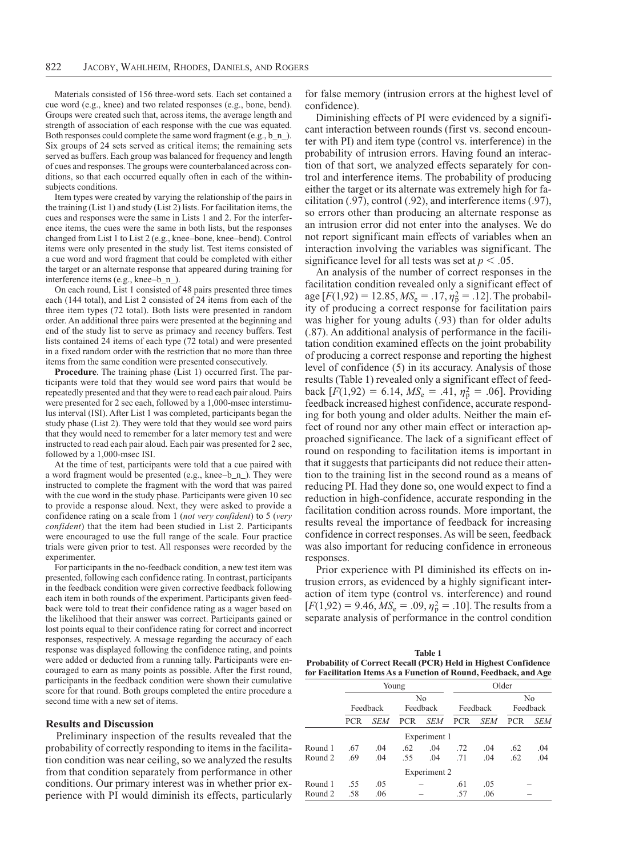Materials consisted of 156 three-word sets. Each set contained a cue word (e.g., knee) and two related responses (e.g., bone, bend). Groups were created such that, across items, the average length and strength of association of each response with the cue was equated. Both responses could complete the same word fragment (e.g., b\_n\_). Six groups of 24 sets served as critical items; the remaining sets served as buffers. Each group was balanced for frequency and length of cues and responses. The groups were counterbalanced across conditions, so that each occurred equally often in each of the withinsubjects conditions.

Item types were created by varying the relationship of the pairs in the training (List 1) and study (List 2) lists. For facilitation items, the cues and responses were the same in Lists 1 and 2. For the interference items, the cues were the same in both lists, but the responses changed from List 1 to List 2 (e.g., knee–bone, knee–bend). Control items were only presented in the study list. Test items consisted of a cue word and word fragment that could be completed with either the target or an alternate response that appeared during training for interference items (e.g., knee–b\_n\_).

On each round, List 1 consisted of 48 pairs presented three times each (144 total), and List 2 consisted of 24 items from each of the three item types (72 total). Both lists were presented in random order. An additional three pairs were presented at the beginning and end of the study list to serve as primacy and recency buffers. Test lists contained 24 items of each type (72 total) and were presented in a fixed random order with the restriction that no more than three items from the same condition were presented consecutively.

**Procedure**. The training phase (List 1) occurred first. The participants were told that they would see word pairs that would be repeatedly presented and that they were to read each pair aloud. Pairs were presented for 2 sec each, followed by a 1,000-msec interstimulus interval (ISI). After List 1 was completed, participants began the study phase (List 2). They were told that they would see word pairs that they would need to remember for a later memory test and were instructed to read each pair aloud. Each pair was presented for 2 sec, followed by a 1,000-msec ISI.

At the time of test, participants were told that a cue paired with a word fragment would be presented (e.g., knee–b\_n\_). They were instructed to complete the fragment with the word that was paired with the cue word in the study phase. Participants were given 10 sec to provide a response aloud. Next, they were asked to provide a confidence rating on a scale from 1 (*not very confident*) to 5 (*very confident*) that the item had been studied in List 2. Participants were encouraged to use the full range of the scale. Four practice trials were given prior to test. All responses were recorded by the experimenter.

For participants in the no-feedback condition, a new test item was presented, following each confidence rating. In contrast, participants in the feedback condition were given corrective feedback following each item in both rounds of the experiment. Participants given feedback were told to treat their confidence rating as a wager based on the likelihood that their answer was correct. Participants gained or lost points equal to their confidence rating for correct and incorrect responses, respectively. A message regarding the accuracy of each response was displayed following the confidence rating, and points were added or deducted from a running tally. Participants were encouraged to earn as many points as possible. After the first round, participants in the feedback condition were shown their cumulative score for that round. Both groups completed the entire procedure a second time with a new set of items.

## **Results and Discussion**

Preliminary inspection of the results revealed that the probability of correctly responding to items in the facilitation condition was near ceiling, so we analyzed the results from that condition separately from performance in other conditions. Our primary interest was in whether prior experience with PI would diminish its effects, particularly for false memory (intrusion errors at the highest level of confidence).

Diminishing effects of PI were evidenced by a significant interaction between rounds (first vs. second encounter with PI) and item type (control vs. interference) in the probability of intrusion errors. Having found an interaction of that sort, we analyzed effects separately for control and interference items. The probability of producing either the target or its alternate was extremely high for facilitation (.97), control (.92), and interference items (.97), so errors other than producing an alternate response as an intrusion error did not enter into the analyses. We do not report significant main effects of variables when an interaction involving the variables was significant. The significance level for all tests was set at  $p < .05$ .

An analysis of the number of correct responses in the facilitation condition revealed only a significant effect of  $age [F(1,92) = 12.85, MS_e = .17, \eta_p^2 = .12].$  The probability of producing a correct response for facilitation pairs was higher for young adults (.93) than for older adults (.87). An additional analysis of performance in the facilitation condition examined effects on the joint probability of producing a correct response and reporting the highest level of confidence (5) in its accuracy. Analysis of those results (Table 1) revealed only a significant effect of feedback  $[F(1,92) = 6.14, M S<sub>e</sub> = .41, \eta<sub>p</sub><sup>2</sup> = .06]$ . Providing feedback increased highest confidence, accurate responding for both young and older adults. Neither the main effect of round nor any other main effect or interaction approached significance. The lack of a significant effect of round on responding to facilitation items is important in that it suggests that participants did not reduce their attention to the training list in the second round as a means of reducing PI. Had they done so, one would expect to find a reduction in high-confidence, accurate responding in the facilitation condition across rounds. More important, the results reveal the importance of feedback for increasing confidence in correct responses. As will be seen, feedback was also important for reducing confidence in erroneous responses.

Prior experience with PI diminished its effects on intrusion errors, as evidenced by a highly significant interaction of item type (control vs. interference) and round  $[F(1,92) = 9.46, MS_e = .09, \eta_p^2 = .10]$ . The results from a separate analysis of performance in the control condition

| <b>Table 1</b>                                                        |
|-----------------------------------------------------------------------|
| <b>Probability of Correct Recall (PCR) Held in Highest Confidence</b> |
| for Facilitation Items As a Function of Round, Feedback, and Age      |

|         |          |            | Young      |                | Older      |            |                            |            |  |
|---------|----------|------------|------------|----------------|------------|------------|----------------------------|------------|--|
|         | Feedback |            |            | No<br>Feedback |            | Feedback   | N <sub>0</sub><br>Feedback |            |  |
|         | PCR      | <b>SEM</b> | <b>PCR</b> | <b>SEM</b>     | <b>PCR</b> | <b>SEM</b> | <b>PCR</b>                 | <b>SEM</b> |  |
|         |          |            |            | Experiment 1   |            |            |                            |            |  |
| Round 1 | .67      | .04        | .62        | .04            | .72        | .04        | .62                        | .04        |  |
| Round 2 | .69      | .04        | .55        | .04            | .71        | .04        | .62                        | .04        |  |
|         |          |            |            | Experiment 2   |            |            |                            |            |  |
| Round 1 | .55      | .05        |            |                | .61        | .05        |                            |            |  |
| Round 2 | .58      | .06        |            |                | .57        | .06        |                            |            |  |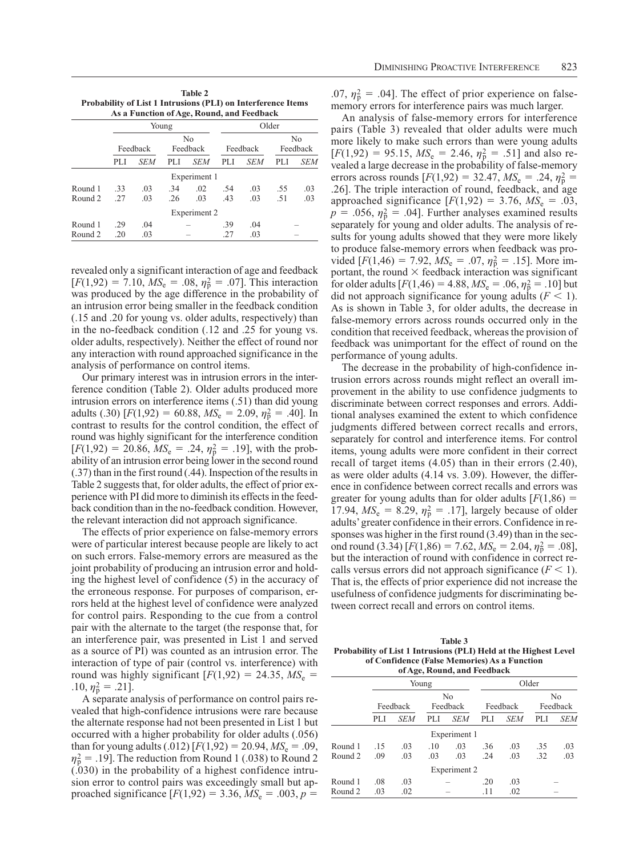|         |            |          |       | Table 2        |       | <b>Probability of List 1 Intrusions (PLI) on Interference Items</b><br>As a Function of Age, Round, and Feedback |     |                |  |  |
|---------|------------|----------|-------|----------------|-------|------------------------------------------------------------------------------------------------------------------|-----|----------------|--|--|
|         |            |          | Young |                | Older |                                                                                                                  |     |                |  |  |
|         |            | Feedback |       | No<br>Feedback |       | Feedback                                                                                                         |     | Nο<br>Feedback |  |  |
|         | SEM<br>PLI |          | PLI   | <b>SEM</b>     | PLI   | SEM                                                                                                              | PLI | SEM            |  |  |
|         |            |          |       | Experiment 1   |       |                                                                                                                  |     |                |  |  |
| Round 1 | -33        | -03      | 34    | .02            | -54   | .03                                                                                                              | -55 |                |  |  |

Round 2 .27 .03 .26 .03 .43 .03 .51 .03 Experiment 2 Round 1. 29 .04 – .39 .04 – Round 2 .20 .03 – .27 .03 –

revealed only a significant interaction of age and feedback  $[F(1,92) = 7.10, MS<sub>e</sub> = .08, \eta<sub>p</sub><sup>2</sup> = .07]$ . This interaction was produced by the age difference in the probability of an intrusion error being smaller in the feedback condition (.15 and .20 for young vs. older adults, respectively) than in the no-feedback condition (.12 and .25 for young vs. older adults, respectively). Neither the effect of round nor any interaction with round approached significance in the analysis of performance on control items.

Our primary interest was in intrusion errors in the interference condition (Table 2). Older adults produced more intrusion errors on interference items (.51) than did young adults (.30)  $[F(1,92) = 60.88, MS_e = 2.09, \eta_p^2 = .40]$ . In contrast to results for the control condition, the effect of round was highly significant for the interference condition  $[F(1,92) = 20.86, MS_e = .24, \eta_p^2 = .19]$ , with the probability of an intrusion error being lower in the second round (.37) than in the first round (.44). Inspection of the results in Table 2 suggests that, for older adults, the effect of prior experience with PI did more to diminish its effects in the feedback condition than in the no-feedback condition. However, the relevant interaction did not approach significance.

The effects of prior experience on false-memory errors were of particular interest because people are likely to act on such errors. False-memory errors are measured as the joint probability of producing an intrusion error and holding the highest level of confidence (5) in the accuracy of the erroneous response. For purposes of comparison, errors held at the highest level of confidence were analyzed for control pairs. Responding to the cue from a control pair with the alternate to the target (the response that, for an interference pair, was presented in List 1 and served as a source of PI) was counted as an intrusion error. The interaction of type of pair (control vs. interference) with round was highly significant  $[F(1,92) = 24.35, MS_e =$  $.10, \eta_{\rm p}^2 = .21$ ].

A separate analysis of performance on control pairs revealed that high-confidence intrusions were rare because the alternate response had not been presented in List 1 but occurred with a higher probability for older adults (.056) than for young adults (.012)  $[F(1,92) = 20.94, MS_e = .09,$  $\eta_p^2 = .19$ . The reduction from Round 1 (.038) to Round 2 (.030) in the probability of a highest confidence intrusion error to control pairs was exceedingly small but approached significance  $[F(1,92) = 3.36, MS_e = .003, p =$ 

.07,  $\eta_{\rm p}^2 = .04$ ]. The effect of prior experience on falsememory errors for interference pairs was much larger.

An analysis of false-memory errors for interference pairs (Table 3) revealed that older adults were much more likely to make such errors than were young adults  $[F(1,92) = 95.15, M S<sub>e</sub> = 2.46, \eta<sub>p</sub><sup>2</sup> = .51]$  and also revealed a large decrease in the probability of false-memory errors across rounds  $[F(1,92) = 32.47, M S<sub>e</sub> = .24, \eta_{p}^{2} =$ .26]. The triple interaction of round, feedback, and age approached significance  $[F(1,92) = 3.76, MS_e = .03,$  $p = .056$ ,  $\eta_p^2 = .04$ . Further analyses examined results separately for young and older adults. The analysis of results for young adults showed that they were more likely to produce false-memory errors when feedback was provided  $[F(1,46) = 7.92, M S<sub>e</sub> = .07, \eta<sub>p</sub><sup>2</sup> = .15]$ . More important, the round  $\times$  feedback interaction was significant for older adults  $[F(1,46) = 4.88, MS_e = .06, \eta_p^2 = .10]$  but did not approach significance for young adults  $(F \le 1)$ . As is shown in Table 3, for older adults, the decrease in false-memory errors across rounds occurred only in the condition that received feedback, whereas the provision of feedback was unimportant for the effect of round on the performance of young adults.

The decrease in the probability of high-confidence intrusion errors across rounds might reflect an overall improvement in the ability to use confidence judgments to discriminate between correct responses and errors. Additional analyses examined the extent to which confidence judgments differed between correct recalls and errors, separately for control and interference items. For control items, young adults were more confident in their correct recall of target items (4.05) than in their errors (2.40), as were older adults (4.14 vs. 3.09). However, the difference in confidence between correct recalls and errors was greater for young adults than for older adults  $[F(1,86) =$ 17.94,  $MS_e = 8.29$ ,  $\eta_p^2 = .17$ ], largely because of older adults' greater confidence in their errors. Confidence in responses was higher in the first round (3.49) than in the second round (3.34)  $[F(1,86) = 7.62, MS_e = 2.04, \eta_p^2 = .08]$ , but the interaction of round with confidence in correct recalls versus errors did not approach significance  $(F < 1)$ . That is, the effects of prior experience did not increase the usefulness of confidence judgments for discriminating between correct recall and errors on control items.

| Table 3                                                          |
|------------------------------------------------------------------|
| Probability of List 1 Intrusions (PLI) Held at the Highest Level |
| of Confidence (False Memories) As a Function                     |
| of Age, Round, and Feedback                                      |

|         |          |            | Young |                |     | Older      |                |            |  |  |
|---------|----------|------------|-------|----------------|-----|------------|----------------|------------|--|--|
|         | Feedback |            |       | No<br>Feedback |     | Feedback   | No<br>Feedback |            |  |  |
|         | PLI      | <b>SEM</b> | PLI   | <b>SEM</b>     | PLI | <b>SEM</b> | PLI            | <b>SEM</b> |  |  |
|         |          |            |       | Experiment 1   |     |            |                |            |  |  |
| Round 1 | .15      | .03        | .10   | .03            | .36 | .03        | .35            | .03        |  |  |
| Round 2 | .09      | .03        | .03   | .03            | 24  | .03        | .32            | .03        |  |  |
|         |          |            |       | Experiment 2   |     |            |                |            |  |  |
| Round 1 | .08      | .03        |       |                | .20 | .03        |                |            |  |  |
| Round 2 | .03      | .02        |       |                | .11 | .02        |                |            |  |  |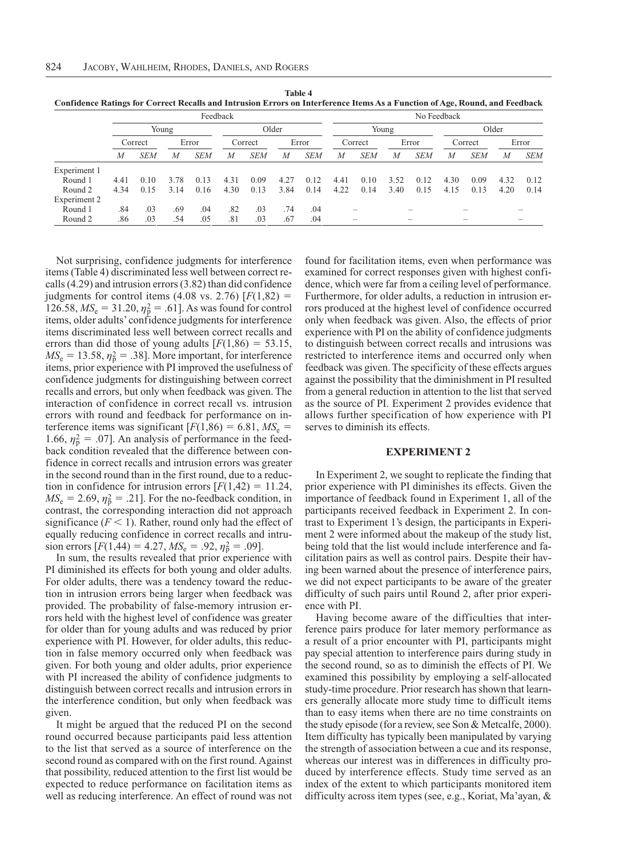|              | Feedback       |            |       |            |         |            |                |            |         |            |       |            | No Feedback |            |       |            |
|--------------|----------------|------------|-------|------------|---------|------------|----------------|------------|---------|------------|-------|------------|-------------|------------|-------|------------|
|              | Older<br>Young |            |       |            |         |            | Older<br>Young |            |         |            |       |            |             |            |       |            |
|              |                | Correct    | Error |            | Correct |            | Error          |            | Correct |            | Error |            | Correct     |            | Error |            |
|              | M              | <b>SEM</b> | М     | <b>SEM</b> | M       | <b>SEM</b> | M              | <b>SEM</b> | M       | <b>SEM</b> | М     | <b>SEM</b> | M           | <b>SEM</b> | M     | <b>SEM</b> |
| Experiment 1 |                |            |       |            |         |            |                |            |         |            |       |            |             |            |       |            |
| Round 1      | 4.41           | 0.10       | 3.78  | 0.13       | 4.31    | 0.09       | 4.27           | 0.12       | 4.41    | 0.10       | 3.52  | 0.12       | 4.30        | 0.09       | 4.32  | 0.12       |
| Round 2      | 4.34           | 0.15       | 3.14  | 0.16       | 4.30    | 0.13       | 3.84           | 0.14       | 4.22    | 0.14       | 3.40  | 0.15       | 4.15        | 0.13       | 4.20  | 0.14       |
| Experiment 2 |                |            |       |            |         |            |                |            |         |            |       |            |             |            |       |            |
| Round 1      | .84            | .03        | .69   | .04        | .82     | .03        | .74            | .04        |         |            |       |            |             |            |       |            |
| Round 2      | .86            | .03        | .54   | .05        | .81     | .03        | .67            | .04        |         | -          |       |            |             |            |       |            |

**Table 4 Confidence Ratings for Correct Recalls and Intrusion Errors on Interference Items As a Function of Age, Round, and Feedback**

Not surprising, confidence judgments for interference items (Table 4) discriminated less well between correct recalls (4.29) and intrusion errors (3.82) than did confidence judgments for control items  $(4.08 \text{ vs. } 2.76)$  [ $F(1,82) =$  $126.58, MS_e = 31.20, \eta_p^2 = .61$ . As was found for control items, older adults' confidence judgments for interference items discriminated less well between correct recalls and errors than did those of young adults  $[F(1,86) = 53.15]$ ,  $MS_e = 13.58$ ,  $\eta_p^2 = .38$ ]. More important, for interference items, prior experience with PI improved the usefulness of confidence judgments for distinguishing between correct recalls and errors, but only when feedback was given. The interaction of confidence in correct recall vs. intrusion errors with round and feedback for performance on interference items was significant  $[F(1,86) = 6.81, MS_e =$ 1.66,  $\eta_p^2 = .07$ ]. An analysis of performance in the feedback condition revealed that the difference between confidence in correct recalls and intrusion errors was greater in the second round than in the first round, due to a reduction in confidence for intrusion errors  $F(1,42) = 11.24$ ,  $MS_e = 2.69$ ,  $\eta_p^2 = .21$ . For the no-feedback condition, in contrast, the corresponding interaction did not approach significance  $(F < 1)$ . Rather, round only had the effect of equally reducing confidence in correct recalls and intrusion errors  $[F(1,44) = 4.27, M S_e = .92, \eta_p^2 = .09]$ .

In sum, the results revealed that prior experience with PI diminished its effects for both young and older adults. For older adults, there was a tendency toward the reduction in intrusion errors being larger when feedback was provided. The probability of false-memory intrusion errors held with the highest level of confidence was greater for older than for young adults and was reduced by prior experience with PI. However, for older adults, this reduction in false memory occurred only when feedback was given. For both young and older adults, prior experience with PI increased the ability of confidence judgments to distinguish between correct recalls and intrusion errors in the interference condition, but only when feedback was given.

It might be argued that the reduced PI on the second round occurred because participants paid less attention to the list that served as a source of interference on the second round as compared with on the first round. Against that possibility, reduced attention to the first list would be expected to reduce performance on facilitation items as well as reducing interference. An effect of round was not found for facilitation items, even when performance was examined for correct responses given with highest confidence, which were far from a ceiling level of performance. Furthermore, for older adults, a reduction in intrusion errors produced at the highest level of confidence occurred only when feedback was given. Also, the effects of prior experience with PI on the ability of confidence judgments to distinguish between correct recalls and intrusions was restricted to interference items and occurred only when feedback was given. The specificity of these effects argues against the possibility that the diminishment in PI resulted from a general reduction in attention to the list that served as the source of PI. Experiment 2 provides evidence that allows further specification of how experience with PI serves to diminish its effects.

## **Experiment 2**

In Experiment 2, we sought to replicate the finding that prior experience with PI diminishes its effects. Given the importance of feedback found in Experiment 1, all of the participants received feedback in Experiment 2. In contrast to Experiment 1's design, the participants in Experiment 2 were informed about the makeup of the study list, being told that the list would include interference and facilitation pairs as well as control pairs. Despite their having been warned about the presence of interference pairs, we did not expect participants to be aware of the greater difficulty of such pairs until Round 2, after prior experience with PI.

Having become aware of the difficulties that interference pairs produce for later memory performance as a result of a prior encounter with PI, participants might pay special attention to interference pairs during study in the second round, so as to diminish the effects of PI. We examined this possibility by employing a self-allocated study-time procedure. Prior research has shown that learners generally allocate more study time to difficult items than to easy items when there are no time constraints on the study episode (for a review, see Son & Metcalfe, 2000). Item difficulty has typically been manipulated by varying the strength of association between a cue and its response, whereas our interest was in differences in difficulty produced by interference effects. Study time served as an index of the extent to which participants monitored item difficulty across item types (see, e.g., Koriat, Ma'ayan, &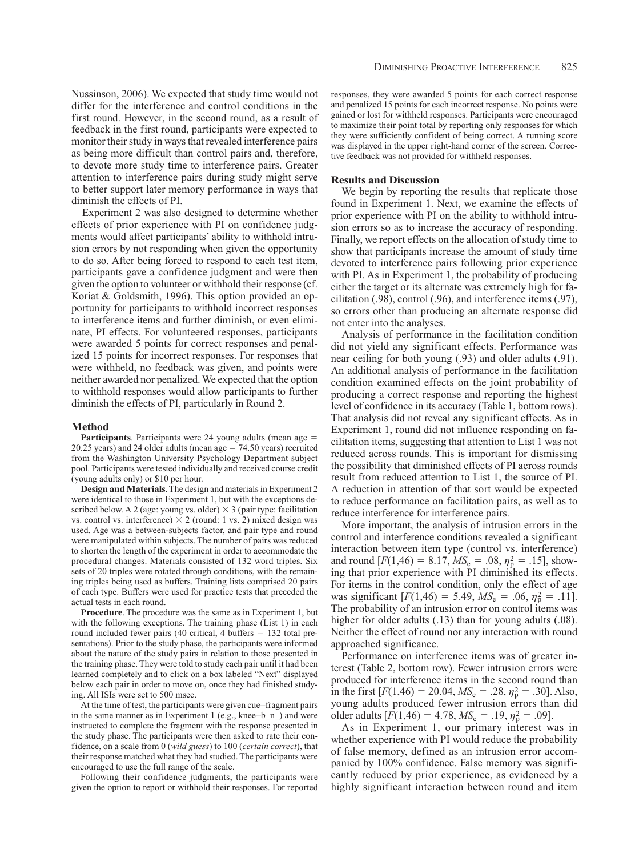Nussinson, 2006). We expected that study time would not differ for the interference and control conditions in the first round. However, in the second round, as a result of feedback in the first round, participants were expected to monitor their study in ways that revealed interference pairs as being more difficult than control pairs and, therefore, to devote more study time to interference pairs. Greater attention to interference pairs during study might serve to better support later memory performance in ways that diminish the effects of PI.

Experiment 2 was also designed to determine whether effects of prior experience with PI on confidence judgments would affect participants' ability to withhold intrusion errors by not responding when given the opportunity to do so. After being forced to respond to each test item, participants gave a confidence judgment and were then given the option to volunteer or withhold their response (cf. Koriat & Goldsmith, 1996). This option provided an opportunity for participants to withhold incorrect responses to interference items and further diminish, or even eliminate, PI effects. For volunteered responses, participants were awarded 5 points for correct responses and penalized 15 points for incorrect responses. For responses that were withheld, no feedback was given, and points were neither awarded nor penalized. We expected that the option to withhold responses would allow participants to further diminish the effects of PI, particularly in Round 2.

#### **Method**

**Participants**. Participants were 24 young adults (mean age  $=$ 20.25 years) and 24 older adults (mean age  $= 74.50$  years) recruited from the Washington University Psychology Department subject pool. Participants were tested individually and received course credit (young adults only) or \$10 per hour.

**Design and Materials**. The design and materials in Experiment 2 were identical to those in Experiment 1, but with the exceptions described below. A 2 (age: young vs. older)  $\times$  3 (pair type: facilitation vs. control vs. interference)  $\times$  2 (round: 1 vs. 2) mixed design was used. Age was a between-subjects factor, and pair type and round were manipulated within subjects. The number of pairs was reduced to shorten the length of the experiment in order to accommodate the procedural changes. Materials consisted of 132 word triples. Six sets of 20 triples were rotated through conditions, with the remaining triples being used as buffers. Training lists comprised 20 pairs of each type. Buffers were used for practice tests that preceded the actual tests in each round.

**Procedure**. The procedure was the same as in Experiment 1, but with the following exceptions. The training phase (List 1) in each round included fewer pairs (40 critical, 4 buffers  $= 132$  total presentations). Prior to the study phase, the participants were informed about the nature of the study pairs in relation to those presented in the training phase. They were told to study each pair until it had been learned completely and to click on a box labeled "Next" displayed below each pair in order to move on, once they had finished studying. All ISIs were set to 500 msec.

At the time of test, the participants were given cue–fragment pairs in the same manner as in Experiment 1 (e.g., knee–b\_n\_) and were instructed to complete the fragment with the response presented in the study phase. The participants were then asked to rate their confidence, on a scale from 0 (*wild guess*) to 100 (*certain correct*), that their response matched what they had studied. The participants were encouraged to use the full range of the scale.

Following their confidence judgments, the participants were given the option to report or withhold their responses. For reported responses, they were awarded 5 points for each correct response and penalized 15 points for each incorrect response. No points were gained or lost for withheld responses. Participants were encouraged to maximize their point total by reporting only responses for which they were sufficiently confident of being correct. A running score was displayed in the upper right-hand corner of the screen. Corrective feedback was not provided for withheld responses.

#### **Results and Discussion**

We begin by reporting the results that replicate those found in Experiment 1. Next, we examine the effects of prior experience with PI on the ability to withhold intrusion errors so as to increase the accuracy of responding. Finally, we report effects on the allocation of study time to show that participants increase the amount of study time devoted to interference pairs following prior experience with PI. As in Experiment 1, the probability of producing either the target or its alternate was extremely high for facilitation (.98), control (.96), and interference items (.97), so errors other than producing an alternate response did not enter into the analyses.

Analysis of performance in the facilitation condition did not yield any significant effects. Performance was near ceiling for both young (.93) and older adults (.91). An additional analysis of performance in the facilitation condition examined effects on the joint probability of producing a correct response and reporting the highest level of confidence in its accuracy (Table 1, bottom rows). That analysis did not reveal any significant effects. As in Experiment 1, round did not influence responding on facilitation items, suggesting that attention to List 1 was not reduced across rounds. This is important for dismissing the possibility that diminished effects of PI across rounds result from reduced attention to List 1, the source of PI. A reduction in attention of that sort would be expected to reduce performance on facilitation pairs, as well as to reduce interference for interference pairs.

More important, the analysis of intrusion errors in the control and interference conditions revealed a significant interaction between item type (control vs. interference) and round  $[F(1,46) = 8.17, M S<sub>e</sub> = .08, \eta<sub>p</sub><sup>2</sup> = .15]$ , showing that prior experience with PI diminished its effects. For items in the control condition, only the effect of age was significant  $[F(1,46) = 5.49, MS_e = .06, \eta_p^2 = .11].$ The probability of an intrusion error on control items was higher for older adults (.13) than for young adults (.08). Neither the effect of round nor any interaction with round approached significance.

Performance on interference items was of greater interest (Table 2, bottom row). Fewer intrusion errors were produced for interference items in the second round than in the first  $[F(1,46) = 20.04, MS_e = .28, \eta_p^2 = .30]$ . Also, young adults produced fewer intrusion errors than did older adults  $[F(1,46) = 4.78, MS_e = .19, \eta_p^2 = .09]$ .

As in Experiment 1, our primary interest was in whether experience with PI would reduce the probability of false memory, defined as an intrusion error accompanied by 100% confidence. False memory was significantly reduced by prior experience, as evidenced by a highly significant interaction between round and item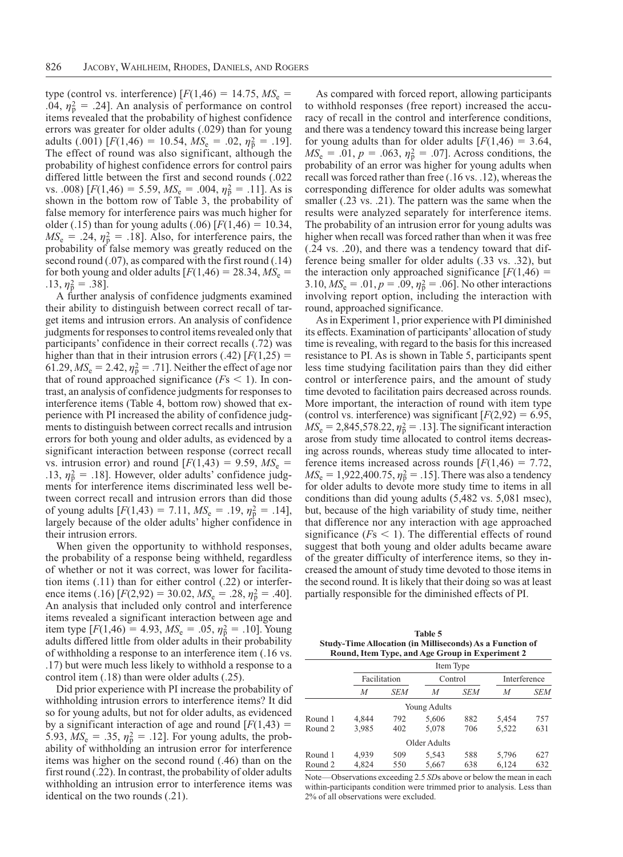type (control vs. interference)  $[F(1,46) = 14.75, MS_e =$ .04,  $\eta_p^2$  = .24]. An analysis of performance on control items revealed that the probability of highest confidence errors was greater for older adults (.029) than for young adults (.001)  $[F(1,46) = 10.54, MS_e = .02, \eta_p^2 = .19].$ The effect of round was also significant, although the probability of highest confidence errors for control pairs differed little between the first and second rounds (.022 vs. .008)  $[F(1,46) = 5.59, MS_e = .004, \eta_p^2 = .11]$ . As is shown in the bottom row of Table 3, the probability of false memory for interference pairs was much higher for older (.15) than for young adults (.06)  $[F(1,46) = 10.34,$  $MS_e = .24$ ,  $\eta_p^2 = .18$ ]. Also, for interference pairs, the probability of false memory was greatly reduced on the second round (.07), as compared with the first round (.14) for both young and older adults  $[F(1,46) = 28.34, MS_e =$  $.13, \eta_{\rm p}^2 = .38$ ].

A further analysis of confidence judgments examined their ability to distinguish between correct recall of target items and intrusion errors. An analysis of confidence judgments for responses to control items revealed only that participants' confidence in their correct recalls (.72) was higher than that in their intrusion errors  $(.42)$  [ $F(1,25)$  = 61.29,  $MS_e = 2.42$ ,  $\eta_p^2 = .71$ . Neither the effect of age nor that of round approached significance  $(Fs \le 1)$ . In contrast, an analysis of confidence judgments for responses to interference items (Table 4, bottom row) showed that experience with PI increased the ability of confidence judgments to distinguish between correct recalls and intrusion errors for both young and older adults, as evidenced by a significant interaction between response (correct recall vs. intrusion error) and round  $[F(1,43) = 9.59, MS_e =$ .13,  $\eta_p^2 = .18$ ]. However, older adults' confidence judgments for interference items discriminated less well between correct recall and intrusion errors than did those of young adults  $[F(1,43) = 7.11, M S_e = .19, \eta_p^2 = .14]$ , largely because of the older adults' higher confidence in their intrusion errors.

When given the opportunity to withhold responses, the probability of a response being withheld, regardless of whether or not it was correct, was lower for facilitation items (.11) than for either control (.22) or interference items (.16)  $[F(2,92) = 30.02, MS_e = .28, \eta_p^2 = .40]$ . An analysis that included only control and interference items revealed a significant interaction between age and item type  $[F(1,46) = 4.93, MS_e = .05, \eta_p^2 = .10]$ . Young adults differed little from older adults in their probability of withholding a response to an interference item (.16 vs. .17) but were much less likely to withhold a response to a control item (.18) than were older adults (.25).

Did prior experience with PI increase the probability of withholding intrusion errors to interference items? It did so for young adults, but not for older adults, as evidenced by a significant interaction of age and round  $[F(1,43) =$ 5.93,  $MS_e = .35$ ,  $\eta_p^2 = .12$ . For young adults, the probability of withholding an intrusion error for interference items was higher on the second round (.46) than on the first round (.22). In contrast, the probability of older adults withholding an intrusion error to interference items was identical on the two rounds (.21).

As compared with forced report, allowing participants to withhold responses (free report) increased the accuracy of recall in the control and interference conditions, and there was a tendency toward this increase being larger for young adults than for older adults  $[F(1,46) = 3.64]$ ,  $MS_e = .01, p = .063, \eta_p^2 = .07$ . Across conditions, the probability of an error was higher for young adults when recall was forced rather than free (.16 vs. .12), whereas the corresponding difference for older adults was somewhat smaller (.23 vs. .21). The pattern was the same when the results were analyzed separately for interference items. The probability of an intrusion error for young adults was higher when recall was forced rather than when it was free (.24 vs. .20), and there was a tendency toward that difference being smaller for older adults (.33 vs. .32), but the interaction only approached significance  $[F(1,46) =$ 3.10,  $MS_e = .01$ ,  $p = .09$ ,  $\eta_p^2 = .06$ . No other interactions involving report option, including the interaction with round, approached significance.

As in Experiment 1, prior experience with PI diminished its effects. Examination of participants' allocation of study time is revealing, with regard to the basis for this increased resistance to PI. As is shown in Table 5, participants spent less time studying facilitation pairs than they did either control or interference pairs, and the amount of study time devoted to facilitation pairs decreased across rounds. More important, the interaction of round with item type (control vs. interference) was significant  $[F(2,92) = 6.95,$  $MS_e = 2,845,578.22, \eta_p^2 = .13$ . The significant interaction arose from study time allocated to control items decreasing across rounds, whereas study time allocated to interference items increased across rounds  $[F(1,46) = 7.72]$ ,  $MS_e = 1,922,400.75, \eta_p^2 = .15$ . There was also a tendency for older adults to devote more study time to items in all conditions than did young adults (5,482 vs. 5,081 msec), but, because of the high variability of study time, neither that difference nor any interaction with age approached significance ( $Fs < 1$ ). The differential effects of round suggest that both young and older adults became aware of the greater difficulty of interference items, so they increased the amount of study time devoted to those items in the second round. It is likely that their doing so was at least partially responsible for the diminished effects of PI.

**Table 5 Study-Time Allocation (in Milliseconds) As a Function of Round, Item Type, and Age Group in Experiment 2**

|         |              | Item Type  |              |            |              |            |  |  |  |  |  |
|---------|--------------|------------|--------------|------------|--------------|------------|--|--|--|--|--|
|         | Facilitation |            | Control      |            | Interference |            |  |  |  |  |  |
|         | M            | <b>SEM</b> | M            | <b>SEM</b> | M            | <b>SEM</b> |  |  |  |  |  |
|         |              |            | Young Adults |            |              |            |  |  |  |  |  |
| Round 1 | 4.844        | 792        | 5,606        | 882        | 5,454        | 757        |  |  |  |  |  |
| Round 2 | 3,985        | 402        | 5,078        | 706        | 5,522        | 631        |  |  |  |  |  |
|         |              |            | Older Adults |            |              |            |  |  |  |  |  |
| Round 1 | 4,939        | 509        | 5,543        | 588        | 5,796        | 627        |  |  |  |  |  |
| Round 2 | 4,824        | 550        | 5,667        | 638        | 6,124        | 632        |  |  |  |  |  |

Note—Observations exceeding 2.5 *SD*s above or below the mean in each within-participants condition were trimmed prior to analysis. Less than 2% of all observations were excluded.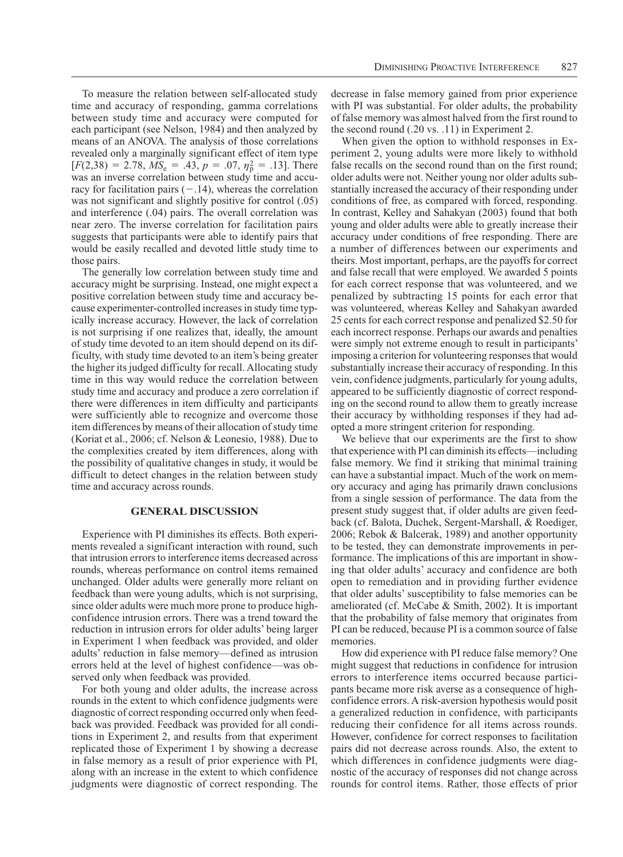To measure the relation between self-allocated study time and accuracy of responding, gamma correlations between study time and accuracy were computed for each participant (see Nelson, 1984) and then analyzed by means of an ANOVA. The analysis of those correlations revealed only a marginally significant effect of item type  $[F(2,38) = 2.78, MS<sub>e</sub> = .43, p = .07, \eta<sub>p</sub><sup>2</sup> = .13].$  There was an inverse correlation between study time and accuracy for facilitation pairs  $(-.14)$ , whereas the correlation was not significant and slightly positive for control  $(.05)$ and interference (.04) pairs. The overall correlation was near zero. The inverse correlation for facilitation pairs suggests that participants were able to identify pairs that would be easily recalled and devoted little study time to those pairs.

The generally low correlation between study time and accuracy might be surprising. Instead, one might expect a positive correlation between study time and accuracy because experimenter-controlled increases in study time typically increase accuracy. However, the lack of correlation is not surprising if one realizes that, ideally, the amount of study time devoted to an item should depend on its difficulty, with study time devoted to an item's being greater the higher its judged difficulty for recall. Allocating study time in this way would reduce the correlation between study time and accuracy and produce a zero correlation if there were differences in item difficulty and participants were sufficiently able to recognize and overcome those item differences by means of their allocation of study time (Koriat et al., 2006; cf. Nelson & Leonesio, 1988). Due to the complexities created by item differences, along with the possibility of qualitative changes in study, it would be difficult to detect changes in the relation between study time and accuracy across rounds.

## **General Discussion**

Experience with PI diminishes its effects. Both experiments revealed a significant interaction with round, such that intrusion errors to interference items decreased across rounds, whereas performance on control items remained unchanged. Older adults were generally more reliant on feedback than were young adults, which is not surprising, since older adults were much more prone to produce highconfidence intrusion errors. There was a trend toward the reduction in intrusion errors for older adults' being larger in Experiment 1 when feedback was provided, and older adults' reduction in false memory—defined as intrusion errors held at the level of highest confidence—was observed only when feedback was provided.

For both young and older adults, the increase across rounds in the extent to which confidence judgments were diagnostic of correct responding occurred only when feedback was provided. Feedback was provided for all conditions in Experiment 2, and results from that experiment replicated those of Experiment 1 by showing a decrease in false memory as a result of prior experience with PI, along with an increase in the extent to which confidence judgments were diagnostic of correct responding. The

decrease in false memory gained from prior experience with PI was substantial. For older adults, the probability of false memory was almost halved from the first round to the second round (.20 vs. .11) in Experiment 2.

When given the option to withhold responses in Experiment 2, young adults were more likely to withhold false recalls on the second round than on the first round; older adults were not. Neither young nor older adults substantially increased the accuracy of their responding under conditions of free, as compared with forced, responding. In contrast, Kelley and Sahakyan (2003) found that both young and older adults were able to greatly increase their accuracy under conditions of free responding. There are a number of differences between our experiments and theirs. Most important, perhaps, are the payoffs for correct and false recall that were employed. We awarded 5 points for each correct response that was volunteered, and we penalized by subtracting 15 points for each error that was volunteered, whereas Kelley and Sahakyan awarded 25 cents for each correct response and penalized \$2.50 for each incorrect response. Perhaps our awards and penalties were simply not extreme enough to result in participants' imposing a criterion for volunteering responses that would substantially increase their accuracy of responding. In this vein, confidence judgments, particularly for young adults, appeared to be sufficiently diagnostic of correct responding on the second round to allow them to greatly increase their accuracy by withholding responses if they had adopted a more stringent criterion for responding.

We believe that our experiments are the first to show that experience with PI can diminish its effects—including false memory. We find it striking that minimal training can have a substantial impact. Much of the work on memory accuracy and aging has primarily drawn conclusions from a single session of performance. The data from the present study suggest that, if older adults are given feedback (cf. Balota, Duchek, Sergent-Marshall, & Roediger, 2006; Rebok & Balcerak, 1989) and another opportunity to be tested, they can demonstrate improvements in performance. The implications of this are important in showing that older adults' accuracy and confidence are both open to remediation and in providing further evidence that older adults' susceptibility to false memories can be ameliorated (cf. McCabe & Smith, 2002). It is important that the probability of false memory that originates from PI can be reduced, because PI is a common source of false memories.

How did experience with PI reduce false memory? One might suggest that reductions in confidence for intrusion errors to interference items occurred because participants became more risk averse as a consequence of highconfidence errors. A risk-aversion hypothesis would posit a generalized reduction in confidence, with participants reducing their confidence for all items across rounds. However, confidence for correct responses to facilitation pairs did not decrease across rounds. Also, the extent to which differences in confidence judgments were diagnostic of the accuracy of responses did not change across rounds for control items. Rather, those effects of prior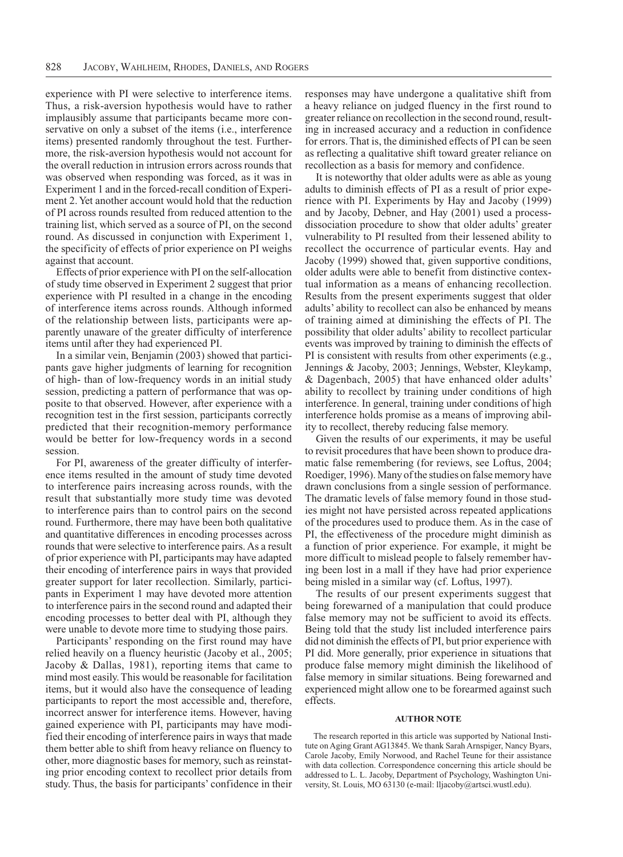experience with PI were selective to interference items. Thus, a risk-aversion hypothesis would have to rather implausibly assume that participants became more conservative on only a subset of the items (i.e., interference items) presented randomly throughout the test. Furthermore, the risk-aversion hypothesis would not account for the overall reduction in intrusion errors across rounds that was observed when responding was forced, as it was in Experiment 1 and in the forced-recall condition of Experiment 2. Yet another account would hold that the reduction of PI across rounds resulted from reduced attention to the training list, which served as a source of PI, on the second round. As discussed in conjunction with Experiment 1, the specificity of effects of prior experience on PI weighs against that account.

Effects of prior experience with PI on the self-allocation of study time observed in Experiment 2 suggest that prior experience with PI resulted in a change in the encoding of interference items across rounds. Although informed of the relationship between lists, participants were apparently unaware of the greater difficulty of interference items until after they had experienced PI.

In a similar vein, Benjamin (2003) showed that participants gave higher judgments of learning for recognition of high- than of low-frequency words in an initial study session, predicting a pattern of performance that was opposite to that observed. However, after experience with a recognition test in the first session, participants correctly predicted that their recognition-memory performance would be better for low-frequency words in a second session.

For PI, awareness of the greater difficulty of interference items resulted in the amount of study time devoted to interference pairs increasing across rounds, with the result that substantially more study time was devoted to interference pairs than to control pairs on the second round. Furthermore, there may have been both qualitative and quantitative differences in encoding processes across rounds that were selective to interference pairs. As a result of prior experience with PI, participants may have adapted their encoding of interference pairs in ways that provided greater support for later recollection. Similarly, participants in Experiment 1 may have devoted more attention to interference pairs in the second round and adapted their encoding processes to better deal with PI, although they were unable to devote more time to studying those pairs.

Participants' responding on the first round may have relied heavily on a fluency heuristic (Jacoby et al., 2005; Jacoby & Dallas, 1981), reporting items that came to mind most easily. This would be reasonable for facilitation items, but it would also have the consequence of leading participants to report the most accessible and, therefore, incorrect answer for interference items. However, having gained experience with PI, participants may have modified their encoding of interference pairs in ways that made them better able to shift from heavy reliance on fluency to other, more diagnostic bases for memory, such as reinstating prior encoding context to recollect prior details from study. Thus, the basis for participants' confidence in their responses may have undergone a qualitative shift from a heavy reliance on judged fluency in the first round to greater reliance on recollection in the second round, resulting in increased accuracy and a reduction in confidence for errors. That is, the diminished effects of PI can be seen as reflecting a qualitative shift toward greater reliance on recollection as a basis for memory and confidence.

It is noteworthy that older adults were as able as young adults to diminish effects of PI as a result of prior experience with PI. Experiments by Hay and Jacoby (1999) and by Jacoby, Debner, and Hay (2001) used a processdissociation procedure to show that older adults' greater vulnerability to PI resulted from their lessened ability to recollect the occurrence of particular events. Hay and Jacoby (1999) showed that, given supportive conditions, older adults were able to benefit from distinctive contextual information as a means of enhancing recollection. Results from the present experiments suggest that older adults' ability to recollect can also be enhanced by means of training aimed at diminishing the effects of PI. The possibility that older adults' ability to recollect particular events was improved by training to diminish the effects of PI is consistent with results from other experiments (e.g., Jennings & Jacoby, 2003; Jennings, Webster, Kleykamp, & Dagenbach, 2005) that have enhanced older adults' ability to recollect by training under conditions of high interference. In general, training under conditions of high interference holds promise as a means of improving ability to recollect, thereby reducing false memory.

Given the results of our experiments, it may be useful to revisit procedures that have been shown to produce dramatic false remembering (for reviews, see Loftus, 2004; Roediger, 1996). Many of the studies on false memory have drawn conclusions from a single session of performance. The dramatic levels of false memory found in those studies might not have persisted across repeated applications of the procedures used to produce them. As in the case of PI, the effectiveness of the procedure might diminish as a function of prior experience. For example, it might be more difficult to mislead people to falsely remember having been lost in a mall if they have had prior experience being misled in a similar way (cf. Loftus, 1997).

The results of our present experiments suggest that being forewarned of a manipulation that could produce false memory may not be sufficient to avoid its effects. Being told that the study list included interference pairs did not diminish the effects of PI, but prior experience with PI did. More generally, prior experience in situations that produce false memory might diminish the likelihood of false memory in similar situations. Being forewarned and experienced might allow one to be forearmed against such effects.

#### **Author Note**

The research reported in this article was supported by National Institute on Aging Grant AG13845. We thank Sarah Arnspiger, Nancy Byars, Carole Jacoby, Emily Norwood, and Rachel Teune for their assistance with data collection. Correspondence concerning this article should be addressed to L. L. Jacoby, Department of Psychology, Washington University, St. Louis, MO 63130 (e-mail: lljacoby@artsci.wustl.edu).